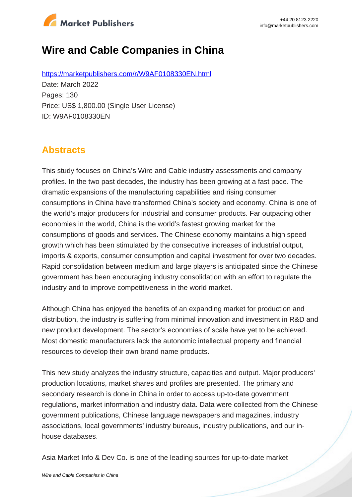

# **Wire and Cable Companies in China**

https://marketpublishers.com/r/W9AF0108330EN.html Date: March 2022 Pages: 130 Price: US\$ 1,800.00 (Single User License) ID: W9AF0108330EN

### **Abstracts**

This study focuses on China's Wire and Cable industry assessments and company profiles. In the two past decades, the industry has been growing at a fast pace. The dramatic expansions of the manufacturing capabilities and rising consumer consumptions in China have transformed China's society and economy. China is one of the world's major producers for industrial and consumer products. Far outpacing other economies in the world, China is the world's fastest growing market for the consumptions of goods and services. The Chinese economy maintains a high speed growth which has been stimulated by the consecutive increases of industrial output, imports & exports, consumer consumption and capital investment for over two decades. Rapid consolidation between medium and large players is anticipated since the Chinese government has been encouraging industry consolidation with an effort to regulate the industry and to improve competitiveness in the world market.

Although China has enjoyed the benefits of an expanding market for production and distribution, the industry is suffering from minimal innovation and investment in R&D and new product development. The sector's economies of scale have yet to be achieved. Most domestic manufacturers lack the autonomic intellectual property and financial resources to develop their own brand name products.

This new study analyzes the industry structure, capacities and output. Major producers' production locations, market shares and profiles are presented. The primary and secondary research is done in China in order to access up-to-date government regulations, market information and industry data. Data were collected from the Chinese government publications, Chinese language newspapers and magazines, industry associations, local governments' industry bureaus, industry publications, and our inhouse databases.

Asia Market Info & Dev Co. is one of the leading sources for up-to-date market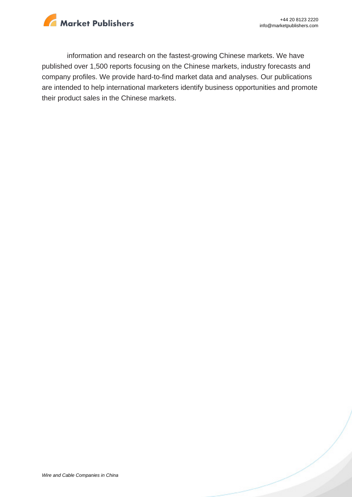

information and research on the fastest-growing Chinese markets. We have published over 1,500 reports focusing on the Chinese markets, industry forecasts and company profiles. We provide hard-to-find market data and analyses. Our publications are intended to help international marketers identify business opportunities and promote their product sales in the Chinese markets.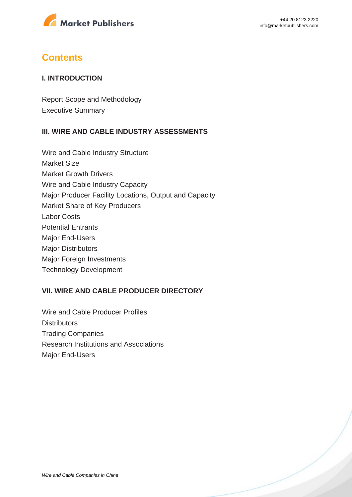

### **Contents**

#### **I. INTRODUCTION**

Report Scope and Methodology Executive Summary

#### **III. WIRE AND CABLE INDUSTRY ASSESSMENTS**

Wire and Cable Industry Structure Market Size Market Growth Drivers Wire and Cable Industry Capacity Major Producer Facility Locations, Output and Capacity Market Share of Key Producers Labor Costs Potential Entrants Major End-Users Major Distributors Major Foreign Investments Technology Development

#### **VII. WIRE AND CABLE PRODUCER DIRECTORY**

Wire and Cable Producer Profiles **Distributors** Trading Companies Research Institutions and Associations Major End-Users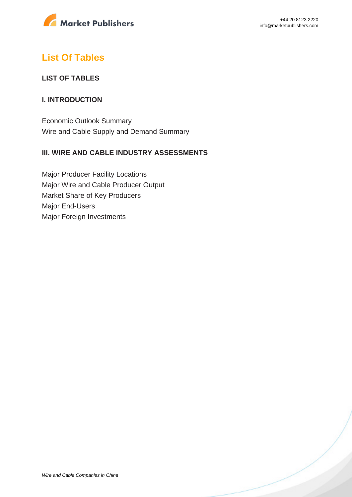

### **List Of Tables**

#### **LIST OF TABLES**

#### **I. INTRODUCTION**

Economic Outlook Summary Wire and Cable Supply and Demand Summary

#### **III. WIRE AND CABLE INDUSTRY ASSESSMENTS**

Major Producer Facility Locations Major Wire and Cable Producer Output Market Share of Key Producers Major End-Users Major Foreign Investments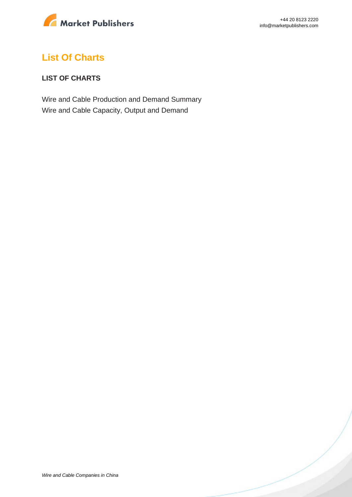

## **List Of Charts**

#### **LIST OF CHARTS**

Wire and Cable Production and Demand Summary Wire and Cable Capacity, Output and Demand